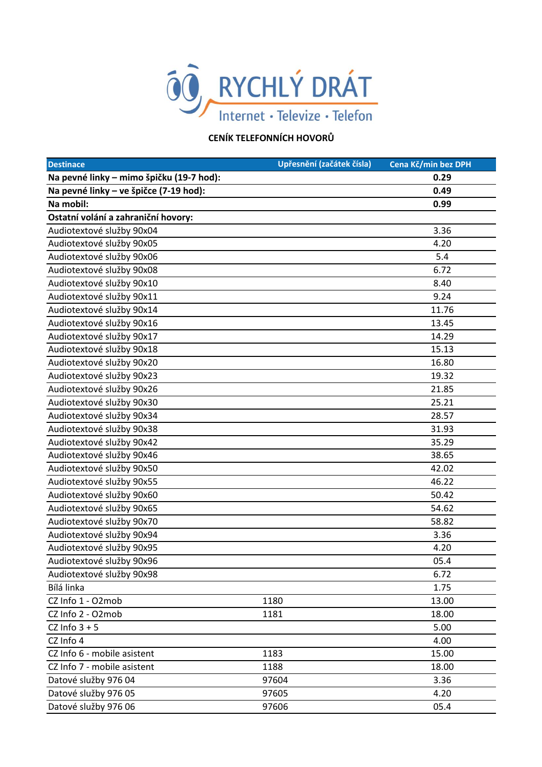

## **CENÍK TELEFONNÍCH HOVORŮ**

| <b>Destinace</b>                         | Upřesnění (začátek čísla) | Cena Kč/min bez DPH |
|------------------------------------------|---------------------------|---------------------|
| Na pevné linky – mimo špičku (19-7 hod): |                           | 0.29                |
| Na pevné linky - ve špičce (7-19 hod):   |                           | 0.49                |
| Na mobil:                                |                           | 0.99                |
| Ostatní volání a zahraniční hovory:      |                           |                     |
| Audiotextové služby 90x04                |                           | 3.36                |
| Audiotextové služby 90x05                |                           | 4.20                |
| Audiotextové služby 90x06                |                           | 5.4                 |
| Audiotextové služby 90x08                |                           | 6.72                |
| Audiotextové služby 90x10                |                           | 8.40                |
| Audiotextové služby 90x11                |                           | 9.24                |
| Audiotextové služby 90x14                |                           | 11.76               |
| Audiotextové služby 90x16                |                           | 13.45               |
| Audiotextové služby 90x17                |                           | 14.29               |
| Audiotextové služby 90x18                |                           | 15.13               |
| Audiotextové služby 90x20                |                           | 16.80               |
| Audiotextové služby 90x23                |                           | 19.32               |
| Audiotextové služby 90x26                |                           | 21.85               |
| Audiotextové služby 90x30                |                           | 25.21               |
| Audiotextové služby 90x34                |                           | 28.57               |
| Audiotextové služby 90x38                |                           | 31.93               |
| Audiotextové služby 90x42                |                           | 35.29               |
| Audiotextové služby 90x46                |                           | 38.65               |
| Audiotextové služby 90x50                |                           | 42.02               |
| Audiotextové služby 90x55                |                           | 46.22               |
| Audiotextové služby 90x60                |                           | 50.42               |
| Audiotextové služby 90x65                |                           | 54.62               |
| Audiotextové služby 90x70                |                           | 58.82               |
| Audiotextové služby 90x94                |                           | 3.36                |
| Audiotextové služby 90x95                |                           | 4.20                |
| Audiotextové služby 90x96                |                           | 05.4                |
| Audiotextové služby 90x98                |                           | 6.72                |
| Bílá linka                               |                           | 1.75                |
| CZ Info 1 - O2mob                        | 1180                      | 13.00               |
| CZ Info 2 - O2mob                        | 1181                      | 18.00               |
| CZ Info $3 + 5$                          |                           | 5.00                |
| CZ Info 4                                |                           | 4.00                |
| CZ Info 6 - mobile asistent              | 1183                      | 15.00               |
| CZ Info 7 - mobile asistent              | 1188                      | 18.00               |
| Datové služby 976 04                     | 97604                     | 3.36                |
| Datové služby 976 05                     | 97605                     | 4.20                |
| Datové služby 976 06                     | 97606                     | 05.4                |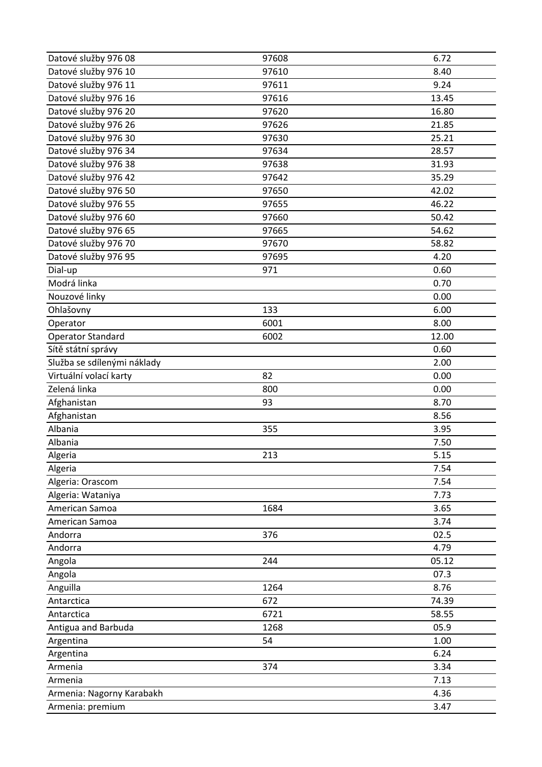| Datové služby 976 08        | 97608 | 6.72  |
|-----------------------------|-------|-------|
| Datové služby 976 10        | 97610 | 8.40  |
| Datové služby 976 11        | 97611 | 9.24  |
| Datové služby 976 16        | 97616 | 13.45 |
| Datové služby 976 20        | 97620 | 16.80 |
| Datové služby 976 26        | 97626 | 21.85 |
| Datové služby 976 30        | 97630 | 25.21 |
| Datové služby 976 34        | 97634 | 28.57 |
| Datové služby 976 38        | 97638 | 31.93 |
| Datové služby 976 42        | 97642 | 35.29 |
| Datové služby 976 50        | 97650 | 42.02 |
| Datové služby 976 55        | 97655 | 46.22 |
| Datové služby 976 60        | 97660 | 50.42 |
| Datové služby 976 65        | 97665 | 54.62 |
| Datové služby 976 70        | 97670 | 58.82 |
| Datové služby 976 95        | 97695 | 4.20  |
| Dial-up                     | 971   | 0.60  |
| Modrá linka                 |       | 0.70  |
| Nouzové linky               |       | 0.00  |
| Ohlašovny                   | 133   | 6.00  |
| Operator                    | 6001  | 8.00  |
| <b>Operator Standard</b>    | 6002  | 12.00 |
| Sítě státní správy          |       | 0.60  |
| Služba se sdílenými náklady |       | 2.00  |
| Virtuální volací karty      | 82    | 0.00  |
| Zelená linka                | 800   | 0.00  |
| Afghanistan                 | 93    | 8.70  |
| Afghanistan                 |       | 8.56  |
| Albania                     | 355   | 3.95  |
| Albania                     |       | 7.50  |
| Algeria                     | 213   | 5.15  |
| Algeria                     |       | 7.54  |
| Algeria: Orascom            |       | 7.54  |
| Algeria: Wataniya           |       | 7.73  |
| American Samoa              | 1684  | 3.65  |
| American Samoa              |       | 3.74  |
| Andorra                     | 376   | 02.5  |
| Andorra                     |       | 4.79  |
| Angola                      | 244   | 05.12 |
| Angola                      |       | 07.3  |
| Anguilla                    | 1264  | 8.76  |
| Antarctica                  | 672   | 74.39 |
| Antarctica                  | 6721  | 58.55 |
| Antigua and Barbuda         | 1268  | 05.9  |
| Argentina                   | 54    | 1.00  |
| Argentina                   |       | 6.24  |
| Armenia                     | 374   | 3.34  |
| Armenia                     |       | 7.13  |
| Armenia: Nagorny Karabakh   |       | 4.36  |
| Armenia: premium            |       | 3.47  |
|                             |       |       |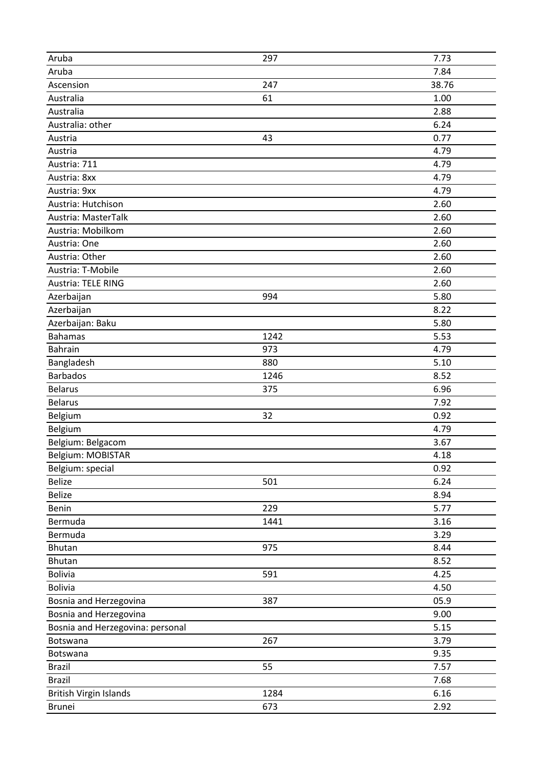| Aruba                            | 297  | 7.73  |
|----------------------------------|------|-------|
| Aruba                            |      | 7.84  |
| Ascension                        | 247  | 38.76 |
| Australia                        | 61   | 1.00  |
| Australia                        |      | 2.88  |
| Australia: other                 |      | 6.24  |
| Austria                          | 43   | 0.77  |
| Austria                          |      | 4.79  |
| Austria: 711                     |      | 4.79  |
| Austria: 8xx                     |      | 4.79  |
| Austria: 9xx                     |      | 4.79  |
| Austria: Hutchison               |      | 2.60  |
| Austria: MasterTalk              |      | 2.60  |
| Austria: Mobilkom                |      | 2.60  |
| Austria: One                     |      | 2.60  |
| Austria: Other                   |      | 2.60  |
| Austria: T-Mobile                |      | 2.60  |
| Austria: TELE RING               |      | 2.60  |
| Azerbaijan                       | 994  | 5.80  |
| Azerbaijan                       |      | 8.22  |
| Azerbaijan: Baku                 |      | 5.80  |
| <b>Bahamas</b>                   | 1242 | 5.53  |
| Bahrain                          | 973  | 4.79  |
| Bangladesh                       | 880  | 5.10  |
| Barbados                         | 1246 | 8.52  |
| <b>Belarus</b>                   | 375  | 6.96  |
| <b>Belarus</b>                   |      | 7.92  |
| Belgium                          | 32   | 0.92  |
| Belgium                          |      | 4.79  |
| Belgium: Belgacom                |      | 3.67  |
| Belgium: MOBISTAR                |      | 4.18  |
| Belgium: special                 |      | 0.92  |
| Belize                           | 501  | 6.24  |
| Belize                           |      | 8.94  |
| Benin                            | 229  | 5.77  |
| Bermuda                          | 1441 | 3.16  |
| Bermuda                          |      | 3.29  |
| Bhutan                           | 975  | 8.44  |
| Bhutan                           |      | 8.52  |
| <b>Bolivia</b>                   | 591  | 4.25  |
| <b>Bolivia</b>                   |      | 4.50  |
| Bosnia and Herzegovina           | 387  | 05.9  |
| Bosnia and Herzegovina           |      | 9.00  |
| Bosnia and Herzegovina: personal |      | 5.15  |
| Botswana                         | 267  | 3.79  |
| Botswana                         |      | 9.35  |
| <b>Brazil</b>                    | 55   | 7.57  |
| <b>Brazil</b>                    |      | 7.68  |
| British Virgin Islands           | 1284 | 6.16  |
| <b>Brunei</b>                    | 673  | 2.92  |
|                                  |      |       |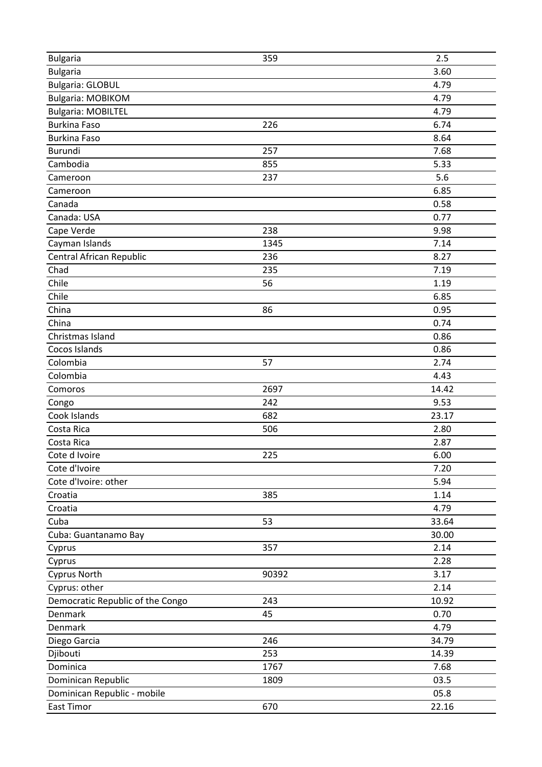| <b>Bulgaria</b>                  | 359   | 2.5   |
|----------------------------------|-------|-------|
| <b>Bulgaria</b>                  |       | 3.60  |
| <b>Bulgaria: GLOBUL</b>          |       | 4.79  |
| <b>Bulgaria: MOBIKOM</b>         |       | 4.79  |
| <b>Bulgaria: MOBILTEL</b>        |       | 4.79  |
| <b>Burkina Faso</b>              | 226   | 6.74  |
| <b>Burkina Faso</b>              |       | 8.64  |
| Burundi                          | 257   | 7.68  |
| Cambodia                         | 855   | 5.33  |
| Cameroon                         | 237   | 5.6   |
| Cameroon                         |       | 6.85  |
| Canada                           |       | 0.58  |
| Canada: USA                      |       | 0.77  |
| Cape Verde                       | 238   | 9.98  |
| Cayman Islands                   | 1345  | 7.14  |
| Central African Republic         | 236   | 8.27  |
| Chad                             | 235   | 7.19  |
| Chile                            | 56    | 1.19  |
| Chile                            |       | 6.85  |
| China                            | 86    | 0.95  |
| China                            |       | 0.74  |
| Christmas Island                 |       | 0.86  |
| Cocos Islands                    |       | 0.86  |
| Colombia                         | 57    | 2.74  |
| Colombia                         |       | 4.43  |
| Comoros                          | 2697  | 14.42 |
| Congo                            | 242   | 9.53  |
| Cook Islands                     | 682   | 23.17 |
| Costa Rica                       | 506   | 2.80  |
| Costa Rica                       |       | 2.87  |
| Cote d Ivoire                    | 225   | 6.00  |
| Cote d'Ivoire                    |       | 7.20  |
| Cote d'Ivoire: other             |       | 5.94  |
| Croatia                          | 385   | 1.14  |
| Croatia                          |       | 4.79  |
| Cuba                             | 53    | 33.64 |
| Cuba: Guantanamo Bay             |       | 30.00 |
| Cyprus                           | 357   | 2.14  |
| Cyprus                           |       | 2.28  |
| <b>Cyprus North</b>              | 90392 | 3.17  |
| Cyprus: other                    |       | 2.14  |
| Democratic Republic of the Congo | 243   | 10.92 |
| Denmark                          | 45    | 0.70  |
| Denmark                          |       | 4.79  |
| Diego Garcia                     | 246   | 34.79 |
| Djibouti                         | 253   | 14.39 |
| Dominica                         | 1767  | 7.68  |
| Dominican Republic               | 1809  | 03.5  |
| Dominican Republic - mobile      |       | 05.8  |
| East Timor                       | 670   | 22.16 |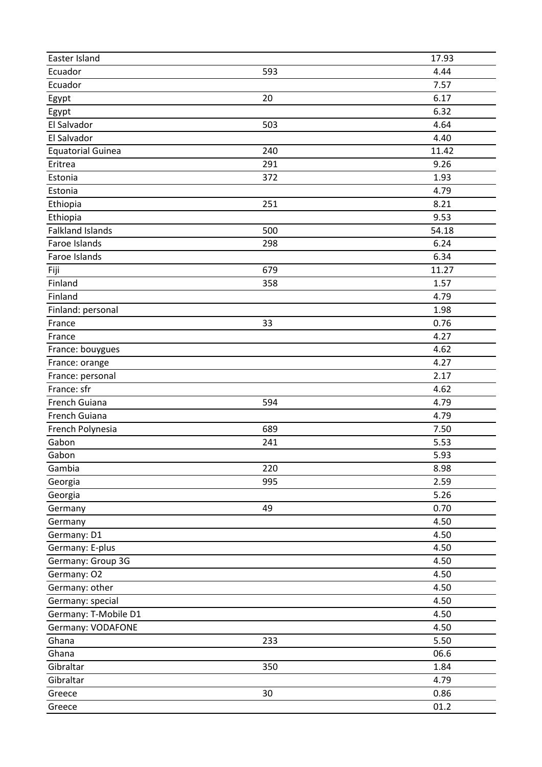| Easter Island            |     | 17.93        |
|--------------------------|-----|--------------|
| Ecuador                  | 593 | 4.44         |
| Ecuador                  |     | 7.57         |
| Egypt                    | 20  | 6.17         |
| Egypt                    |     | 6.32         |
| El Salvador              | 503 | 4.64         |
| El Salvador              |     | 4.40         |
| <b>Equatorial Guinea</b> | 240 | 11.42        |
| Eritrea                  | 291 | 9.26         |
| Estonia                  | 372 | 1.93         |
| Estonia                  |     | 4.79         |
| Ethiopia                 | 251 | 8.21         |
| Ethiopia                 |     | 9.53         |
| <b>Falkland Islands</b>  | 500 | 54.18        |
| Faroe Islands            | 298 | 6.24         |
| Faroe Islands            |     | 6.34         |
| Fiji                     | 679 | 11.27        |
| Finland                  | 358 | 1.57         |
| Finland                  |     | 4.79         |
| Finland: personal        |     | 1.98         |
| France                   | 33  | 0.76         |
| France                   |     | 4.27         |
| France: bouygues         |     | 4.62         |
| France: orange           |     | 4.27         |
| France: personal         |     | 2.17         |
| France: sfr              |     | 4.62         |
| French Guiana            | 594 | 4.79         |
| French Guiana            |     | 4.79         |
| French Polynesia         | 689 | 7.50         |
| Gabon                    | 241 | 5.53         |
| Gabon                    |     | 5.93         |
| Gambia                   | 220 |              |
|                          | 995 | 8.98<br>2.59 |
| Georgia                  |     |              |
| Georgia                  |     | 5.26         |
| Germany                  | 49  | 0.70         |
| Germany                  |     | 4.50         |
| Germany: D1              |     | 4.50         |
| Germany: E-plus          |     | 4.50         |
| Germany: Group 3G        |     | 4.50         |
| Germany: O2              |     | 4.50         |
| Germany: other           |     | 4.50         |
| Germany: special         |     | 4.50         |
| Germany: T-Mobile D1     |     | 4.50         |
| Germany: VODAFONE        |     | 4.50         |
| Ghana                    | 233 | 5.50         |
| Ghana                    |     | 06.6         |
| Gibraltar                | 350 | 1.84         |
| Gibraltar                |     | 4.79         |
| Greece                   | 30  | 0.86         |
| Greece                   |     | 01.2         |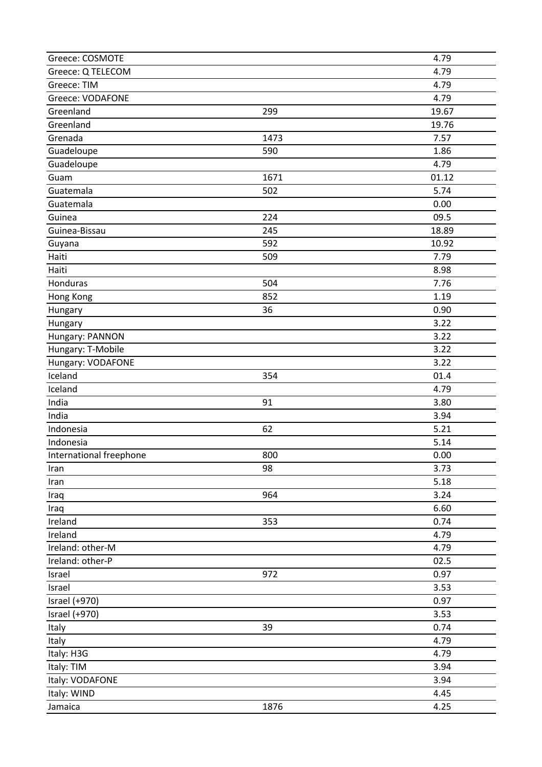| Greece: COSMOTE         |      | 4.79  |
|-------------------------|------|-------|
| Greece: Q TELECOM       |      | 4.79  |
| Greece: TIM             |      | 4.79  |
| <b>Greece: VODAFONE</b> |      | 4.79  |
| Greenland               | 299  | 19.67 |
| Greenland               |      | 19.76 |
| Grenada                 | 1473 | 7.57  |
| Guadeloupe              | 590  | 1.86  |
| Guadeloupe              |      | 4.79  |
| Guam                    | 1671 | 01.12 |
| Guatemala               | 502  | 5.74  |
| Guatemala               |      | 0.00  |
| Guinea                  | 224  | 09.5  |
| Guinea-Bissau           | 245  | 18.89 |
| Guyana                  | 592  | 10.92 |
| Haiti                   | 509  | 7.79  |
| Haiti                   |      | 8.98  |
| Honduras                | 504  | 7.76  |
| Hong Kong               | 852  | 1.19  |
| Hungary                 | 36   | 0.90  |
| Hungary                 |      | 3.22  |
| Hungary: PANNON         |      | 3.22  |
| Hungary: T-Mobile       |      | 3.22  |
| Hungary: VODAFONE       |      | 3.22  |
| Iceland                 | 354  | 01.4  |
| Iceland                 |      | 4.79  |
| India                   | 91   | 3.80  |
| India                   |      | 3.94  |
| Indonesia               | 62   | 5.21  |
| Indonesia               |      | 5.14  |
| International freephone | 800  | 0.00  |
| Iran                    | 98   | 3.73  |
| Iran                    |      | 5.18  |
| Iraq                    | 964  | 3.24  |
| Iraq                    |      | 6.60  |
| Ireland                 | 353  | 0.74  |
| Ireland                 |      | 4.79  |
| Ireland: other-M        |      | 4.79  |
| Ireland: other-P        |      | 02.5  |
| Israel                  | 972  | 0.97  |
| Israel                  |      | 3.53  |
| Israel (+970)           |      | 0.97  |
| Israel (+970)           |      | 3.53  |
| Italy                   | 39   | 0.74  |
| Italy                   |      | 4.79  |
| Italy: H3G              |      | 4.79  |
| Italy: TIM              |      | 3.94  |
| Italy: VODAFONE         |      | 3.94  |
| Italy: WIND             | 1876 | 4.45  |
| Jamaica                 |      | 4.25  |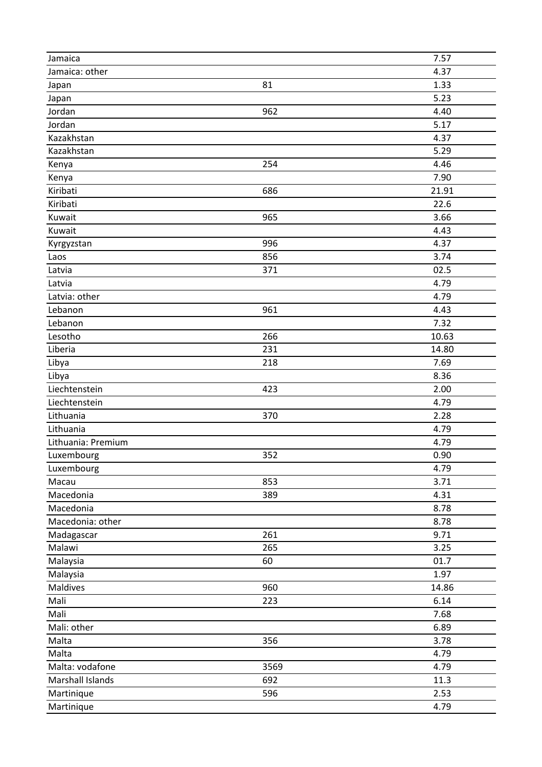| Jamaica: other<br>4.37<br>81<br>1.33<br>Japan<br>5.23<br>Japan<br>962<br>4.40<br>Jordan<br>5.17<br>Jordan<br>Kazakhstan<br>4.37<br>Kazakhstan<br>5.29<br>254<br>4.46<br>Kenya<br>7.90<br>Kenya<br>686<br>21.91<br>Kiribati<br>Kiribati<br>22.6<br>Kuwait<br>965<br>3.66<br>Kuwait<br>4.43<br>996<br>4.37<br>Kyrgyzstan<br>3.74<br>856<br>Laos<br>02.5<br>371<br>Latvia<br>4.79<br>Latvia<br>Latvia: other<br>4.79<br>Lebanon<br>961<br>4.43<br>7.32<br>Lebanon<br>266<br>10.63<br>Lesotho<br>Liberia<br>231<br>14.80<br>7.69<br>Libya<br>218<br>8.36<br>Libya<br>Liechtenstein<br>2.00<br>423<br>Liechtenstein<br>4.79<br>2.28<br>Lithuania<br>370<br>Lithuania<br>4.79<br>4.79<br>Lithuania: Premium<br>352<br>Luxembourg<br>0.90<br>Luxembourg<br>4.79<br>853<br>3.71<br>Macau<br>Macedonia<br>4.31<br>389<br>8.78<br>Macedonia<br>Macedonia: other<br>8.78<br>261<br>9.71<br>Madagascar<br>Malawi<br>265<br>3.25<br>Malaysia<br>60<br>01.7 |
|-----------------------------------------------------------------------------------------------------------------------------------------------------------------------------------------------------------------------------------------------------------------------------------------------------------------------------------------------------------------------------------------------------------------------------------------------------------------------------------------------------------------------------------------------------------------------------------------------------------------------------------------------------------------------------------------------------------------------------------------------------------------------------------------------------------------------------------------------------------------------------------------------------------------------------------------------|
|                                                                                                                                                                                                                                                                                                                                                                                                                                                                                                                                                                                                                                                                                                                                                                                                                                                                                                                                               |
|                                                                                                                                                                                                                                                                                                                                                                                                                                                                                                                                                                                                                                                                                                                                                                                                                                                                                                                                               |
|                                                                                                                                                                                                                                                                                                                                                                                                                                                                                                                                                                                                                                                                                                                                                                                                                                                                                                                                               |
|                                                                                                                                                                                                                                                                                                                                                                                                                                                                                                                                                                                                                                                                                                                                                                                                                                                                                                                                               |
|                                                                                                                                                                                                                                                                                                                                                                                                                                                                                                                                                                                                                                                                                                                                                                                                                                                                                                                                               |
|                                                                                                                                                                                                                                                                                                                                                                                                                                                                                                                                                                                                                                                                                                                                                                                                                                                                                                                                               |
|                                                                                                                                                                                                                                                                                                                                                                                                                                                                                                                                                                                                                                                                                                                                                                                                                                                                                                                                               |
|                                                                                                                                                                                                                                                                                                                                                                                                                                                                                                                                                                                                                                                                                                                                                                                                                                                                                                                                               |
|                                                                                                                                                                                                                                                                                                                                                                                                                                                                                                                                                                                                                                                                                                                                                                                                                                                                                                                                               |
|                                                                                                                                                                                                                                                                                                                                                                                                                                                                                                                                                                                                                                                                                                                                                                                                                                                                                                                                               |
|                                                                                                                                                                                                                                                                                                                                                                                                                                                                                                                                                                                                                                                                                                                                                                                                                                                                                                                                               |
|                                                                                                                                                                                                                                                                                                                                                                                                                                                                                                                                                                                                                                                                                                                                                                                                                                                                                                                                               |
|                                                                                                                                                                                                                                                                                                                                                                                                                                                                                                                                                                                                                                                                                                                                                                                                                                                                                                                                               |
|                                                                                                                                                                                                                                                                                                                                                                                                                                                                                                                                                                                                                                                                                                                                                                                                                                                                                                                                               |
|                                                                                                                                                                                                                                                                                                                                                                                                                                                                                                                                                                                                                                                                                                                                                                                                                                                                                                                                               |
|                                                                                                                                                                                                                                                                                                                                                                                                                                                                                                                                                                                                                                                                                                                                                                                                                                                                                                                                               |
|                                                                                                                                                                                                                                                                                                                                                                                                                                                                                                                                                                                                                                                                                                                                                                                                                                                                                                                                               |
|                                                                                                                                                                                                                                                                                                                                                                                                                                                                                                                                                                                                                                                                                                                                                                                                                                                                                                                                               |
|                                                                                                                                                                                                                                                                                                                                                                                                                                                                                                                                                                                                                                                                                                                                                                                                                                                                                                                                               |
|                                                                                                                                                                                                                                                                                                                                                                                                                                                                                                                                                                                                                                                                                                                                                                                                                                                                                                                                               |
|                                                                                                                                                                                                                                                                                                                                                                                                                                                                                                                                                                                                                                                                                                                                                                                                                                                                                                                                               |
|                                                                                                                                                                                                                                                                                                                                                                                                                                                                                                                                                                                                                                                                                                                                                                                                                                                                                                                                               |
|                                                                                                                                                                                                                                                                                                                                                                                                                                                                                                                                                                                                                                                                                                                                                                                                                                                                                                                                               |
|                                                                                                                                                                                                                                                                                                                                                                                                                                                                                                                                                                                                                                                                                                                                                                                                                                                                                                                                               |
|                                                                                                                                                                                                                                                                                                                                                                                                                                                                                                                                                                                                                                                                                                                                                                                                                                                                                                                                               |
|                                                                                                                                                                                                                                                                                                                                                                                                                                                                                                                                                                                                                                                                                                                                                                                                                                                                                                                                               |
|                                                                                                                                                                                                                                                                                                                                                                                                                                                                                                                                                                                                                                                                                                                                                                                                                                                                                                                                               |
|                                                                                                                                                                                                                                                                                                                                                                                                                                                                                                                                                                                                                                                                                                                                                                                                                                                                                                                                               |
|                                                                                                                                                                                                                                                                                                                                                                                                                                                                                                                                                                                                                                                                                                                                                                                                                                                                                                                                               |
|                                                                                                                                                                                                                                                                                                                                                                                                                                                                                                                                                                                                                                                                                                                                                                                                                                                                                                                                               |
|                                                                                                                                                                                                                                                                                                                                                                                                                                                                                                                                                                                                                                                                                                                                                                                                                                                                                                                                               |
|                                                                                                                                                                                                                                                                                                                                                                                                                                                                                                                                                                                                                                                                                                                                                                                                                                                                                                                                               |
|                                                                                                                                                                                                                                                                                                                                                                                                                                                                                                                                                                                                                                                                                                                                                                                                                                                                                                                                               |
|                                                                                                                                                                                                                                                                                                                                                                                                                                                                                                                                                                                                                                                                                                                                                                                                                                                                                                                                               |
|                                                                                                                                                                                                                                                                                                                                                                                                                                                                                                                                                                                                                                                                                                                                                                                                                                                                                                                                               |
|                                                                                                                                                                                                                                                                                                                                                                                                                                                                                                                                                                                                                                                                                                                                                                                                                                                                                                                                               |
|                                                                                                                                                                                                                                                                                                                                                                                                                                                                                                                                                                                                                                                                                                                                                                                                                                                                                                                                               |
|                                                                                                                                                                                                                                                                                                                                                                                                                                                                                                                                                                                                                                                                                                                                                                                                                                                                                                                                               |
| 1.97<br>Malaysia                                                                                                                                                                                                                                                                                                                                                                                                                                                                                                                                                                                                                                                                                                                                                                                                                                                                                                                              |
| Maldives<br>960<br>14.86                                                                                                                                                                                                                                                                                                                                                                                                                                                                                                                                                                                                                                                                                                                                                                                                                                                                                                                      |
| 6.14<br>Mali<br>223                                                                                                                                                                                                                                                                                                                                                                                                                                                                                                                                                                                                                                                                                                                                                                                                                                                                                                                           |
| Mali<br>7.68                                                                                                                                                                                                                                                                                                                                                                                                                                                                                                                                                                                                                                                                                                                                                                                                                                                                                                                                  |
| Mali: other<br>6.89                                                                                                                                                                                                                                                                                                                                                                                                                                                                                                                                                                                                                                                                                                                                                                                                                                                                                                                           |
| Malta<br>356<br>3.78                                                                                                                                                                                                                                                                                                                                                                                                                                                                                                                                                                                                                                                                                                                                                                                                                                                                                                                          |
| Malta<br>4.79                                                                                                                                                                                                                                                                                                                                                                                                                                                                                                                                                                                                                                                                                                                                                                                                                                                                                                                                 |
| Malta: vodafone<br>3569<br>4.79                                                                                                                                                                                                                                                                                                                                                                                                                                                                                                                                                                                                                                                                                                                                                                                                                                                                                                               |
|                                                                                                                                                                                                                                                                                                                                                                                                                                                                                                                                                                                                                                                                                                                                                                                                                                                                                                                                               |
| Marshall Islands<br>11.3<br>692                                                                                                                                                                                                                                                                                                                                                                                                                                                                                                                                                                                                                                                                                                                                                                                                                                                                                                               |
| 596<br>2.53<br>Martinique                                                                                                                                                                                                                                                                                                                                                                                                                                                                                                                                                                                                                                                                                                                                                                                                                                                                                                                     |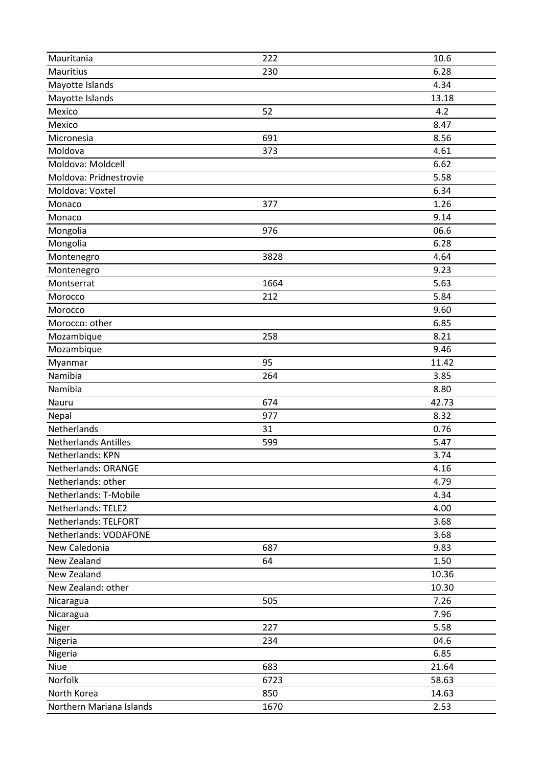| Mauritania                              | 222  | 10.6  |
|-----------------------------------------|------|-------|
| Mauritius                               | 230  | 6.28  |
| Mayotte Islands                         |      | 4.34  |
| Mayotte Islands                         |      | 13.18 |
| Mexico                                  | 52   | 4.2   |
| Mexico                                  |      | 8.47  |
| Micronesia                              | 691  | 8.56  |
| Moldova                                 | 373  | 4.61  |
| Moldova: Moldcell                       |      | 6.62  |
| Moldova: Pridnestrovie                  |      | 5.58  |
| Moldova: Voxtel                         |      | 6.34  |
| Monaco                                  | 377  | 1.26  |
| Monaco                                  |      | 9.14  |
| Mongolia                                | 976  | 06.6  |
| Mongolia                                |      | 6.28  |
| Montenegro                              | 3828 | 4.64  |
| Montenegro                              |      | 9.23  |
| Montserrat                              | 1664 | 5.63  |
| Morocco                                 | 212  | 5.84  |
| Morocco                                 |      | 9.60  |
| Morocco: other                          |      | 6.85  |
| Mozambique                              | 258  | 8.21  |
| Mozambique                              |      | 9.46  |
| Myanmar                                 | 95   | 11.42 |
| Namibia                                 | 264  | 3.85  |
| Namibia                                 |      | 8.80  |
|                                         |      |       |
| Nauru                                   | 674  | 42.73 |
| Nepal                                   | 977  | 8.32  |
| Netherlands                             | 31   | 0.76  |
| <b>Netherlands Antilles</b>             | 599  | 5.47  |
| Netherlands: KPN                        |      | 3.74  |
| Netherlands: ORANGE                     |      | 4.16  |
| Netherlands: other                      |      | 4.79  |
| Netherlands: T-Mobile                   |      | 4.34  |
| Netherlands: TELE2                      |      | 4.00  |
| Netherlands: TELFORT                    |      | 3.68  |
| Netherlands: VODAFONE                   |      | 3.68  |
| New Caledonia                           | 687  | 9.83  |
| New Zealand                             | 64   | 1.50  |
| New Zealand                             |      | 10.36 |
| New Zealand: other                      |      | 10.30 |
| Nicaragua                               | 505  | 7.26  |
| Nicaragua                               |      | 7.96  |
| Niger                                   | 227  | 5.58  |
| Nigeria                                 | 234  | 04.6  |
| Nigeria                                 |      | 6.85  |
| Niue                                    | 683  | 21.64 |
| Norfolk                                 | 6723 | 58.63 |
| North Korea<br>Northern Mariana Islands | 850  | 14.63 |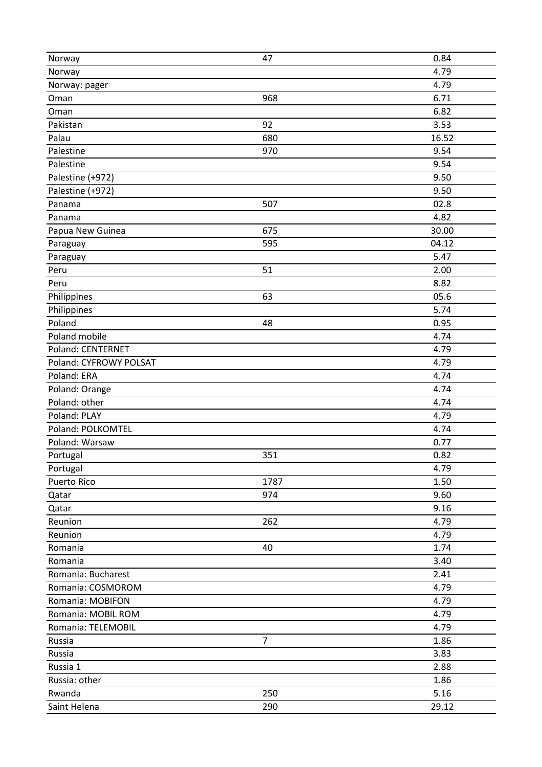| Norway                 | 47             | 0.84  |
|------------------------|----------------|-------|
| Norway                 |                | 4.79  |
| Norway: pager          |                | 4.79  |
| Oman                   | 968            | 6.71  |
| Oman                   |                | 6.82  |
| Pakistan               | 92             | 3.53  |
| Palau                  | 680            | 16.52 |
| Palestine              | 970            | 9.54  |
| Palestine              |                | 9.54  |
| Palestine (+972)       |                | 9.50  |
| Palestine (+972)       |                | 9.50  |
| Panama                 | 507            | 02.8  |
| Panama                 |                | 4.82  |
| Papua New Guinea       | 675            | 30.00 |
| Paraguay               | 595            | 04.12 |
| Paraguay               |                | 5.47  |
| Peru                   | 51             | 2.00  |
| Peru                   |                | 8.82  |
| Philippines            | 63             | 05.6  |
| Philippines            |                | 5.74  |
| Poland                 | 48             | 0.95  |
| Poland mobile          |                | 4.74  |
| Poland: CENTERNET      |                | 4.79  |
| Poland: CYFROWY POLSAT |                | 4.79  |
| Poland: ERA            |                | 4.74  |
| Poland: Orange         |                | 4.74  |
| Poland: other          |                | 4.74  |
| Poland: PLAY           |                | 4.79  |
| Poland: POLKOMTEL      |                | 4.74  |
| Poland: Warsaw         |                | 0.77  |
| Portugal               | 351            | 0.82  |
| Portugal               |                | 4.79  |
| <b>Puerto Rico</b>     | 1787           | 1.50  |
| Qatar                  | 974            | 9.60  |
| Qatar                  |                | 9.16  |
| Reunion                | 262            | 4.79  |
| Reunion                |                | 4.79  |
| Romania                | 40             | 1.74  |
| Romania                |                | 3.40  |
| Romania: Bucharest     |                | 2.41  |
| Romania: COSMOROM      |                | 4.79  |
| Romania: MOBIFON       |                | 4.79  |
| Romania: MOBIL ROM     |                | 4.79  |
| Romania: TELEMOBIL     |                | 4.79  |
| Russia                 | $\overline{7}$ | 1.86  |
| Russia                 |                | 3.83  |
| Russia 1               |                | 2.88  |
| Russia: other          |                | 1.86  |
| Rwanda                 | 250            | 5.16  |
| Saint Helena           | 290            | 29.12 |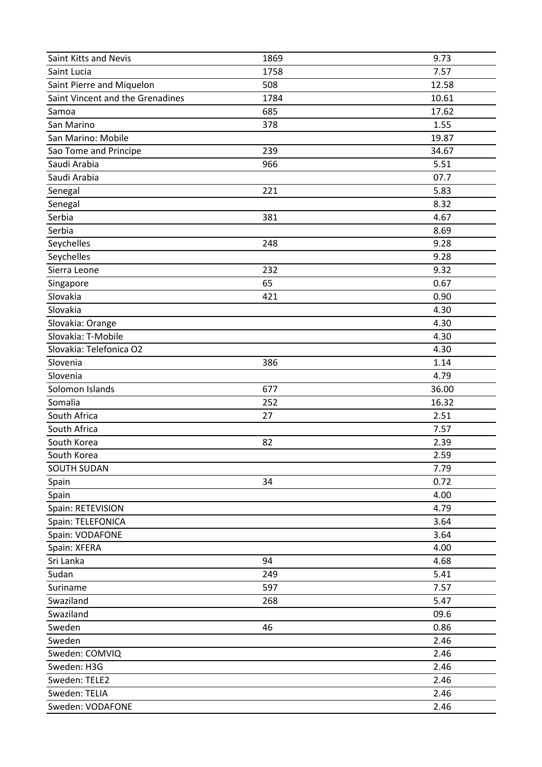| Saint Kitts and Nevis            | 1869 | 9.73  |
|----------------------------------|------|-------|
| Saint Lucia                      | 1758 | 7.57  |
| Saint Pierre and Miquelon        | 508  | 12.58 |
| Saint Vincent and the Grenadines | 1784 | 10.61 |
| Samoa                            | 685  | 17.62 |
| San Marino                       | 378  | 1.55  |
| San Marino: Mobile               |      | 19.87 |
| Sao Tome and Principe            | 239  | 34.67 |
| Saudi Arabia                     | 966  | 5.51  |
| Saudi Arabia                     |      | 07.7  |
| Senegal                          | 221  | 5.83  |
| Senegal                          |      | 8.32  |
| Serbia                           | 381  | 4.67  |
| Serbia                           |      | 8.69  |
| Seychelles                       | 248  | 9.28  |
| Seychelles                       |      | 9.28  |
| Sierra Leone                     | 232  | 9.32  |
| Singapore                        | 65   | 0.67  |
| Slovakia                         | 421  | 0.90  |
| Slovakia                         |      | 4.30  |
| Slovakia: Orange                 |      | 4.30  |
| Slovakia: T-Mobile               |      | 4.30  |
| Slovakia: Telefonica O2          |      | 4.30  |
| Slovenia                         | 386  | 1.14  |
| Slovenia                         |      | 4.79  |
| Solomon Islands                  | 677  | 36.00 |
| Somalia                          | 252  | 16.32 |
| South Africa                     | 27   | 2.51  |
| South Africa                     |      | 7.57  |
| South Korea                      | 82   | 2.39  |
| South Korea                      |      | 2.59  |
| <b>SOUTH SUDAN</b>               |      | 7.79  |
| Spain                            | 34   | 0.72  |
| Spain                            |      | 4.00  |
| Spain: RETEVISION                |      | 4.79  |
| Spain: TELEFONICA                |      | 3.64  |
| Spain: VODAFONE                  |      | 3.64  |
| Spain: XFERA                     |      | 4.00  |
| Sri Lanka                        | 94   | 4.68  |
| Sudan                            | 249  | 5.41  |
| Suriname                         | 597  | 7.57  |
| Swaziland                        | 268  | 5.47  |
| Swaziland                        |      | 09.6  |
| Sweden                           | 46   | 0.86  |
| Sweden                           |      | 2.46  |
| Sweden: COMVIQ                   |      | 2.46  |
| Sweden: H3G                      |      | 2.46  |
| Sweden: TELE2                    |      | 2.46  |
| Sweden: TELIA                    |      | 2.46  |
| Sweden: VODAFONE                 |      | 2.46  |
|                                  |      |       |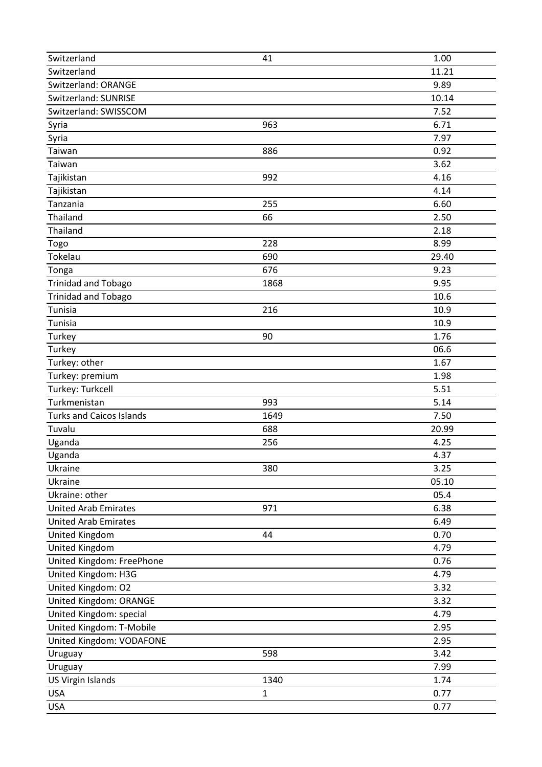| Switzerland                     | 41           | 1.00  |
|---------------------------------|--------------|-------|
| Switzerland                     |              | 11.21 |
| Switzerland: ORANGE             |              | 9.89  |
| Switzerland: SUNRISE            |              | 10.14 |
| Switzerland: SWISSCOM           |              | 7.52  |
| Syria                           | 963          | 6.71  |
| Syria                           |              | 7.97  |
| Taiwan                          | 886          | 0.92  |
| Taiwan                          |              | 3.62  |
| Tajikistan                      | 992          | 4.16  |
| Tajikistan                      |              | 4.14  |
| Tanzania                        | 255          | 6.60  |
| Thailand                        | 66           | 2.50  |
| Thailand                        |              | 2.18  |
| Togo                            | 228          | 8.99  |
| Tokelau                         | 690          | 29.40 |
| Tonga                           | 676          | 9.23  |
| <b>Trinidad and Tobago</b>      | 1868         | 9.95  |
| <b>Trinidad and Tobago</b>      |              | 10.6  |
| Tunisia                         | 216          | 10.9  |
| Tunisia                         |              | 10.9  |
| Turkey                          | 90           | 1.76  |
| Turkey                          |              | 06.6  |
| Turkey: other                   |              | 1.67  |
| Turkey: premium                 |              | 1.98  |
| Turkey: Turkcell                |              | 5.51  |
| Turkmenistan                    | 993          | 5.14  |
| <b>Turks and Caicos Islands</b> | 1649         | 7.50  |
| Tuvalu                          | 688          | 20.99 |
| Uganda                          | 256          | 4.25  |
| Uganda                          |              | 4.37  |
| Ukraine                         | 380          | 3.25  |
| Ukraine                         |              | 05.10 |
| Ukraine: other                  |              | 05.4  |
| <b>United Arab Emirates</b>     | 971          | 6.38  |
| <b>United Arab Emirates</b>     |              | 6.49  |
| United Kingdom                  | 44           | 0.70  |
| United Kingdom                  |              | 4.79  |
| United Kingdom: FreePhone       |              | 0.76  |
| United Kingdom: H3G             |              | 4.79  |
| United Kingdom: O2              |              | 3.32  |
| United Kingdom: ORANGE          |              | 3.32  |
| United Kingdom: special         |              | 4.79  |
| United Kingdom: T-Mobile        |              | 2.95  |
| United Kingdom: VODAFONE        |              | 2.95  |
| Uruguay                         | 598          | 3.42  |
| Uruguay                         |              | 7.99  |
| <b>US Virgin Islands</b>        | 1340         | 1.74  |
| <b>USA</b>                      | $\mathbf{1}$ | 0.77  |
| <b>USA</b>                      |              | 0.77  |
|                                 |              |       |